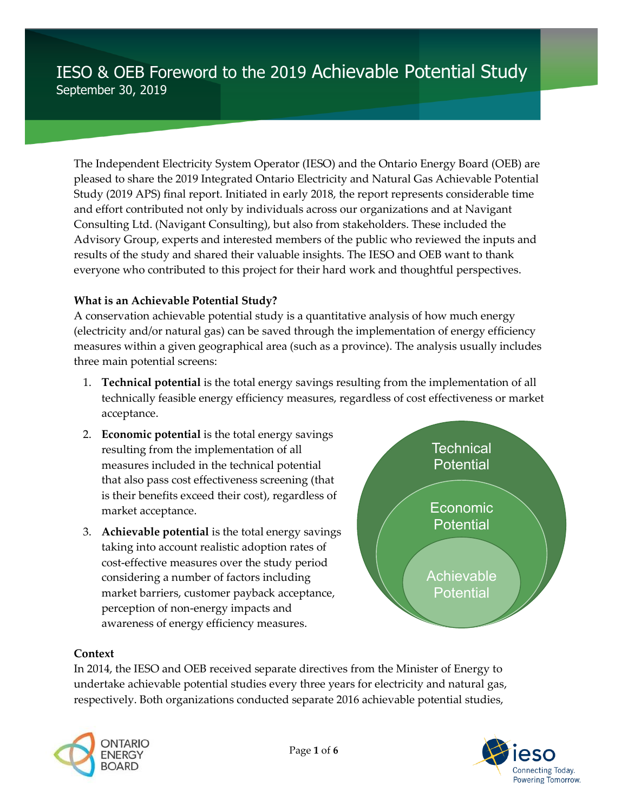# IESO & OEB Foreword to the 2019 Achievable Potential Study September 30, 2019

The Independent Electricity System Operator (IESO) and the Ontario Energy Board (OEB) are pleased to share the 2019 Integrated Ontario Electricity and Natural Gas Achievable Potential Study (2019 APS) final report. Initiated in early 2018, the report represents considerable time and effort contributed not only by individuals across our organizations and at Navigant Consulting Ltd. (Navigant Consulting), but also from stakeholders. These included the Advisory Group, experts and interested members of the public who reviewed the inputs and results of the study and shared their valuable insights. The IESO and OEB want to thank everyone who contributed to this project for their hard work and thoughtful perspectives.

#### **What is an Achievable Potential Study?**

A conservation achievable potential study is a quantitative analysis of how much energy (electricity and/or natural gas) can be saved through the implementation of energy efficiency measures within a given geographical area (such as a province). The analysis usually includes three main potential screens:

- 1. **Technical potential** is the total energy savings resulting from the implementation of all technically feasible energy efficiency measures, regardless of cost effectiveness or market acceptance.
- 2. **Economic potential** is the total energy savings resulting from the implementation of all measures included in the technical potential that also pass cost effectiveness screening (that is their benefits exceed their cost), regardless of market acceptance.
- 3. **Achievable potential** is the total energy savings taking into account realistic adoption rates of cost-effective measures over the study period considering a number of factors including market barriers, customer payback acceptance, perception of non-energy impacts and awareness of energy efficiency measures.



#### **Context**

In 2014, the IESO and OEB received separate directives from the Minister of Energy to undertake achievable potential studies every three years for electricity and natural gas, respectively. Both organizations conducted separate 2016 achievable potential studies,



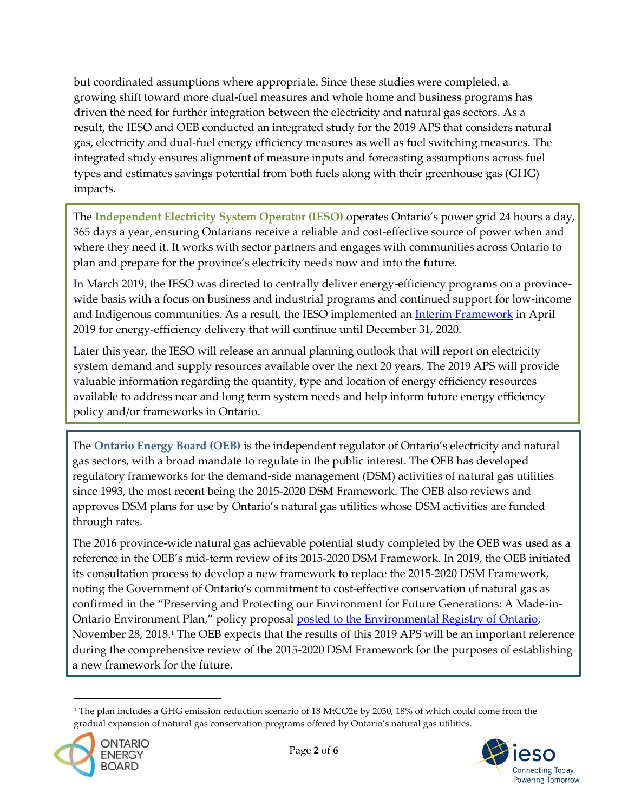but coordinated assumptions where appropriate. Since these studies were completed, a growing shift toward more dual-fuel measures and whole home and business programs has driven the need for further integration between the electricity and natural gas sectors. As a result, the IESO and OEB conducted an integrated study for the 2019 APS that considers natural gas, electricity and dual-fuel energy efficiency measures as well as fuel switching measures. The integrated study ensures alignment of measure inputs and forecasting assumptions across fuel types and estimates savings potential from both fuels along with their greenhouse gas (GHG) impacts.

The **Independent Electricity System Operator (IESO)** operates Ontario's power grid 24 hours a day, 365 days a year, ensuring Ontarians receive a reliable and cost-effective source of power when and where they need it. It works with sector partners and engages with communities across Ontario to plan and prepare for the province's electricity needs now and into the future.

In March 2019, the IESO was directed to centrally deliver energy-efficiency programs on a provincewide basis with a focus on business and industrial programs and continued support for low-income and Indigenous communities. As a result, the IESO implemented an *[Interim Framework](http://www.ieso.ca/en/Sector-Participants/Energy-Efficiency/2019-2020-Interim-Framework)* in April 2019 for energy-efficiency delivery that will continue until December 31, 2020.

Later this year, the IESO will release an annual planning outlook that will report on electricity system demand and supply resources available over the next 20 years. The 2019 APS will provide valuable information regarding the quantity, type and location of energy efficiency resources available to address near and long term system needs and help inform future energy efficiency policy and/or frameworks in Ontario.

The **Ontario Energy Board (OEB)** is the independent regulator of Ontario's electricity and natural gas sectors, with a broad mandate to regulate in the public interest. The OEB has developed regulatory frameworks for the demand-side management (DSM) activities of natural gas utilities since 1993, the most recent being the 2015-2020 DSM Framework. The OEB also reviews and approves DSM plans for use by Ontario's natural gas utilities whose DSM activities are funded through rates.

The 2016 province-wide natural gas achievable potential study completed by the OEB was used as a reference in the OEB's mid-term review of its 2015-2020 DSM Framework. In 2019, the OEB initiated its consultation process to develop a new framework to replace the 2015-2020 DSM Framework, noting the Government of Ontario's commitment to cost-effective conservation of natural gas as confirmed in the "Preserving and Protecting our Environment for Future Generations: A Made-in-Ontario Environment Plan," policy proposal [posted to the Environmental Registry of Ontario,](https://ero.ontario.ca/notice/013-4208) November 28, 2018. <sup>1</sup> The OEB expects that the results of this 2019 APS will be an important reference during the comprehensive review of the 2015-2020 DSM Framework for the purposes of establishing a new framework for the future.

<sup>&</sup>lt;sup>1</sup> The plan includes a GHG emission reduction scenario of 18 MtCO2e by 2030, 18% of which could come from the gradual expansion of natural gas conservation programs offered by Ontario's natural gas utilities.



1

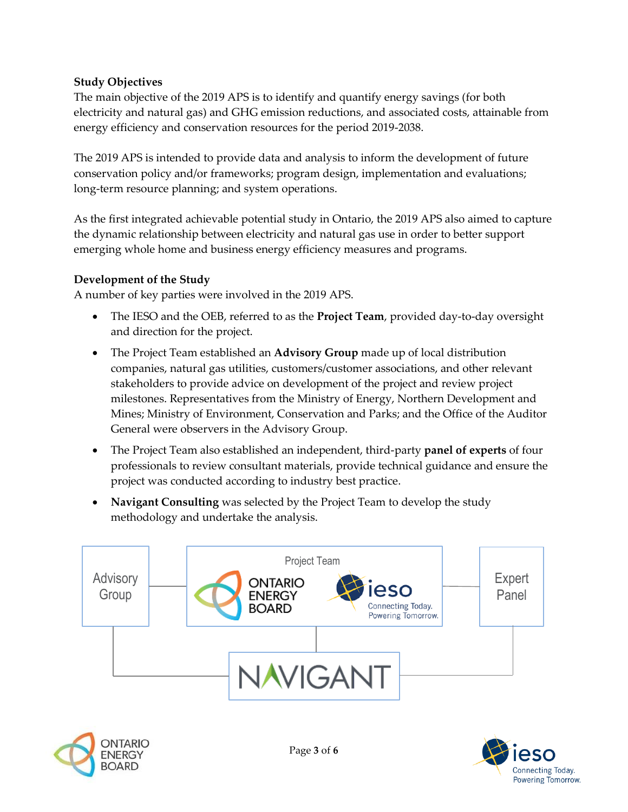## **Study Objectives**

The main objective of the 2019 APS is to identify and quantify energy savings (for both electricity and natural gas) and GHG emission reductions, and associated costs, attainable from energy efficiency and conservation resources for the period 2019-2038.

The 2019 APS is intended to provide data and analysis to inform the development of future conservation policy and/or frameworks; program design, implementation and evaluations; long-term resource planning; and system operations.

As the first integrated achievable potential study in Ontario, the 2019 APS also aimed to capture the dynamic relationship between electricity and natural gas use in order to better support emerging whole home and business energy efficiency measures and programs.

## **Development of the Study**

A number of key parties were involved in the 2019 APS.

- The IESO and the OEB, referred to as the **Project Team**, provided day-to-day oversight and direction for the project.
- The Project Team established an **Advisory Group** made up of local distribution companies, natural gas utilities, customers/customer associations, and other relevant stakeholders to provide advice on development of the project and review project milestones. Representatives from the Ministry of Energy, Northern Development and Mines; Ministry of Environment, Conservation and Parks; and the Office of the Auditor General were observers in the Advisory Group.
- The Project Team also established an independent, third-party **panel of experts** of four professionals to review consultant materials, provide technical guidance and ensure the project was conducted according to industry best practice.
- **Navigant Consulting** was selected by the Project Team to develop the study methodology and undertake the analysis.





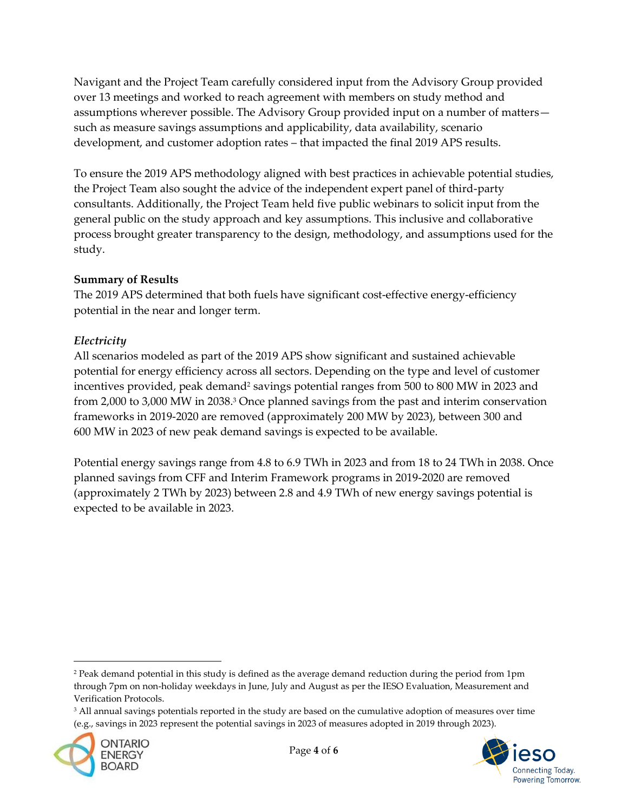Navigant and the Project Team carefully considered input from the Advisory Group provided over 13 meetings and worked to reach agreement with members on study method and assumptions wherever possible. The Advisory Group provided input on a number of matters such as measure savings assumptions and applicability, data availability, scenario development, and customer adoption rates – that impacted the final 2019 APS results.

To ensure the 2019 APS methodology aligned with best practices in achievable potential studies, the Project Team also sought the advice of the independent expert panel of third-party consultants. Additionally, the Project Team held five public webinars to solicit input from the general public on the study approach and key assumptions. This inclusive and collaborative process brought greater transparency to the design, methodology, and assumptions used for the study.

## **Summary of Results**

The 2019 APS determined that both fuels have significant cost-effective energy-efficiency potential in the near and longer term.

## *Electricity*

All scenarios modeled as part of the 2019 APS show significant and sustained achievable potential for energy efficiency across all sectors. Depending on the type and level of customer incentives provided, peak demand<sup>2</sup> savings potential ranges from 500 to 800 MW in 2023 and from 2,000 to 3,000 MW in 2038. <sup>3</sup> Once planned savings from the past and interim conservation frameworks in 2019-2020 are removed (approximately 200 MW by 2023), between 300 and 600 MW in 2023 of new peak demand savings is expected to be available.

Potential energy savings range from 4.8 to 6.9 TWh in 2023 and from 18 to 24 TWh in 2038. Once planned savings from CFF and Interim Framework programs in 2019-2020 are removed (approximately 2 TWh by 2023) between 2.8 and 4.9 TWh of new energy savings potential is expected to be available in 2023.

<sup>&</sup>lt;sup>3</sup> All annual savings potentials reported in the study are based on the cumulative adoption of measures over time (e.g., savings in 2023 represent the potential savings in 2023 of measures adopted in 2019 through 2023).



1



<sup>&</sup>lt;sup>2</sup> Peak demand potential in this study is defined as the average demand reduction during the period from 1pm through 7pm on non-holiday weekdays in June, July and August as per the IESO Evaluation, Measurement and Verification Protocols.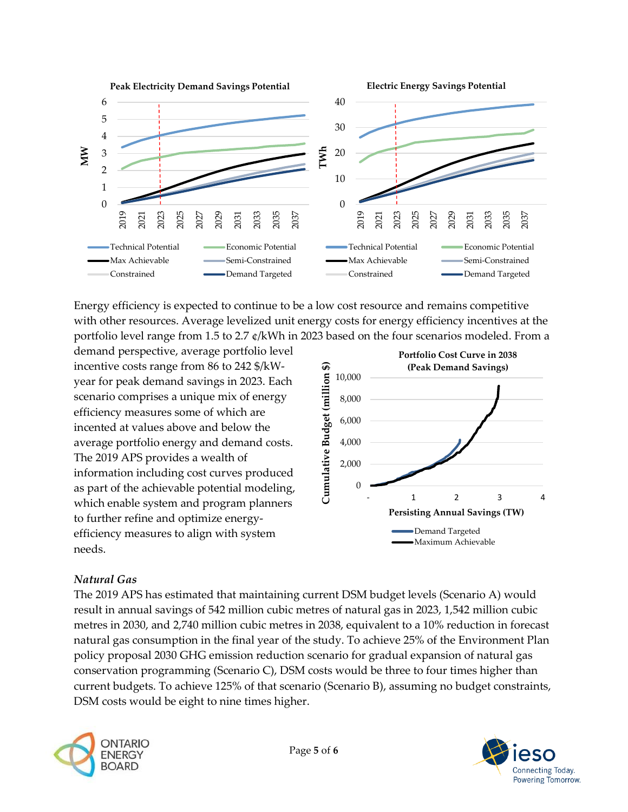

Energy efficiency is expected to continue to be a low cost resource and remains competitive with other resources. Average levelized unit energy costs for energy efficiency incentives at the portfolio level range from 1.5 to 2.7 ¢/kWh in 2023 based on the four scenarios modeled. From a

demand perspective, average portfolio level incentive costs range from 86 to 242 \$/kWyear for peak demand savings in 2023. Each scenario comprises a unique mix of energy efficiency measures some of which are incented at values above and below the average portfolio energy and demand costs. The 2019 APS provides a wealth of information including cost curves produced as part of the achievable potential modeling, which enable system and program planners to further refine and optimize energyefficiency measures to align with system needs.



## *Natural Gas*

The 2019 APS has estimated that maintaining current DSM budget levels (Scenario A) would result in annual savings of 542 million cubic metres of natural gas in 2023, 1,542 million cubic metres in 2030, and 2,740 million cubic metres in 2038, equivalent to a 10% reduction in forecast natural gas consumption in the final year of the study. To achieve 25% of the Environment Plan policy proposal 2030 GHG emission reduction scenario for gradual expansion of natural gas conservation programming (Scenario C), DSM costs would be three to four times higher than current budgets. To achieve 125% of that scenario (Scenario B), assuming no budget constraints, DSM costs would be eight to nine times higher.